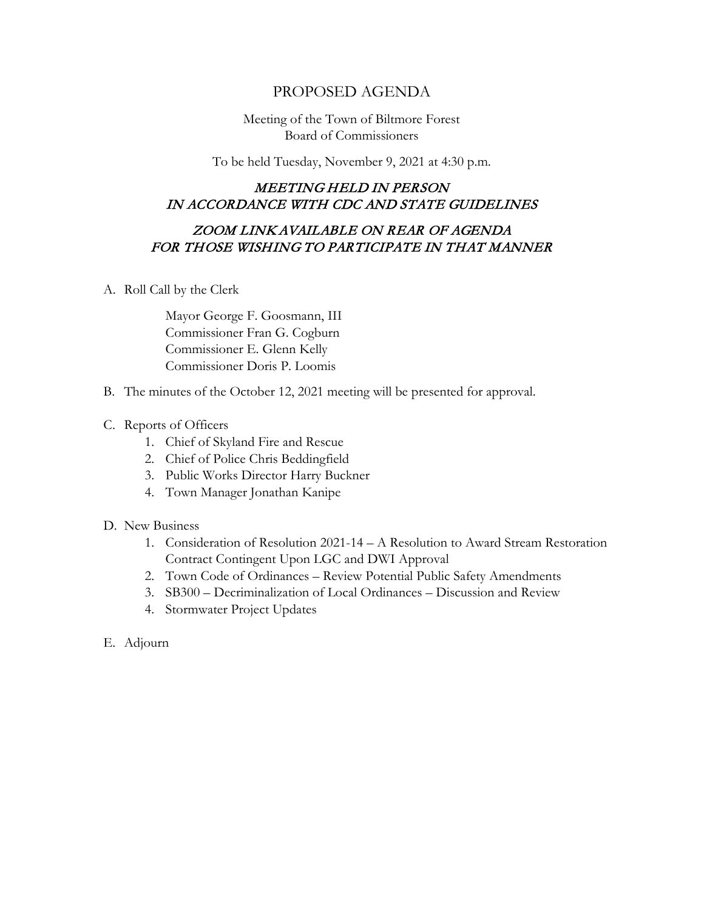## PROPOSED AGENDA

Meeting of the Town of Biltmore Forest Board of Commissioners

To be held Tuesday, November 9, 2021 at 4:30 p.m.

## MEETING HELD IN PERSON IN ACCORDANCE WITH CDC AND STATE GUIDELINES

## ZOOM LINK AVAILABLE ON REAR OF AGENDA FOR THOSE WISHING TO PARTICIPATE IN THAT MANNER

A. Roll Call by the Clerk

Mayor George F. Goosmann, III Commissioner Fran G. Cogburn Commissioner E. Glenn Kelly Commissioner Doris P. Loomis

- B. The minutes of the October 12, 2021 meeting will be presented for approval.
- C. Reports of Officers
	- 1. Chief of Skyland Fire and Rescue
	- 2. Chief of Police Chris Beddingfield
	- 3. Public Works Director Harry Buckner
	- 4. Town Manager Jonathan Kanipe
- D. New Business
	- 1. Consideration of Resolution 2021-14 A Resolution to Award Stream Restoration Contract Contingent Upon LGC and DWI Approval
	- 2. Town Code of Ordinances Review Potential Public Safety Amendments
	- 3. SB300 Decriminalization of Local Ordinances Discussion and Review
	- 4. Stormwater Project Updates
- E. Adjourn